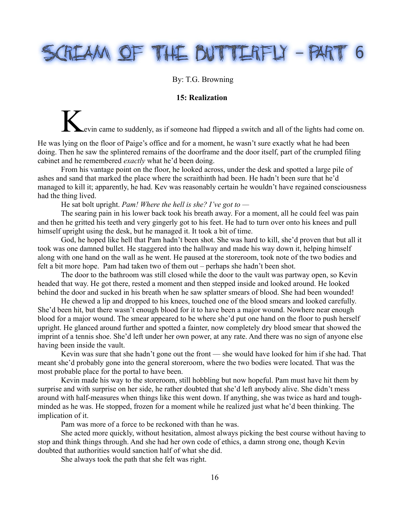## REAM OF THE BUTTERFLY - PAR  $\mathbb{r}$  6

## By: T.G. Browning

## **15: Realization**

**K**evin came to suddenly, as if someone had flipped a switch and all of the lights had come on.

He was lying on the floor of Paige's office and for a moment, he wasn't sure exactly what he had been doing. Then he saw the splintered remains of the doorframe and the door itself, part of the crumpled filing cabinet and he remembered *exactly* what he'd been doing.

From his vantage point on the floor, he looked across, under the desk and spotted a large pile of ashes and sand that marked the place where the scraithinth had been. He hadn't been sure that he'd managed to kill it; apparently, he had. Kev was reasonably certain he wouldn't have regained consciousness had the thing lived.

He sat bolt upright. *Pam! Where the hell is she? I've got to —*

The searing pain in his lower back took his breath away. For a moment, all he could feel was pain and then he gritted his teeth and very gingerly got to his feet. He had to turn over onto his knees and pull himself upright using the desk, but he managed it. It took a bit of time.

God, he hoped like hell that Pam hadn't been shot. She was hard to kill, she'd proven that but all it took was one damned bullet. He staggered into the hallway and made his way down it, helping himself along with one hand on the wall as he went. He paused at the storeroom, took note of the two bodies and felt a bit more hope. Pam had taken two of them out – perhaps she hadn't been shot.

The door to the bathroom was still closed while the door to the vault was partway open, so Kevin headed that way. He got there, rested a moment and then stepped inside and looked around. He looked behind the door and sucked in his breath when he saw splatter smears of blood. She had been wounded!

He chewed a lip and dropped to his knees, touched one of the blood smears and looked carefully. She'd been hit, but there wasn't enough blood for it to have been a major wound. Nowhere near enough blood for a major wound. The smear appeared to be where she'd put one hand on the floor to push herself upright. He glanced around further and spotted a fainter, now completely dry blood smear that showed the imprint of a tennis shoe. She'd left under her own power, at any rate. And there was no sign of anyone else having been inside the vault.

Kevin was sure that she hadn't gone out the front — she would have looked for him if she had. That meant she'd probably gone into the general storeroom, where the two bodies were located. That was the most probable place for the portal to have been.

Kevin made his way to the storeroom, still hobbling but now hopeful. Pam must have hit them by surprise and with surprise on her side, he rather doubted that she'd left anybody alive. She didn't mess around with half-measures when things like this went down. If anything, she was twice as hard and toughminded as he was. He stopped, frozen for a moment while he realized just what he'd been thinking. The implication of it.

Pam was more of a force to be reckoned with than he was.

She acted more quickly, without hesitation, almost always picking the best course without having to stop and think things through. And she had her own code of ethics, a damn strong one, though Kevin doubted that authorities would sanction half of what she did.

She always took the path that she felt was right.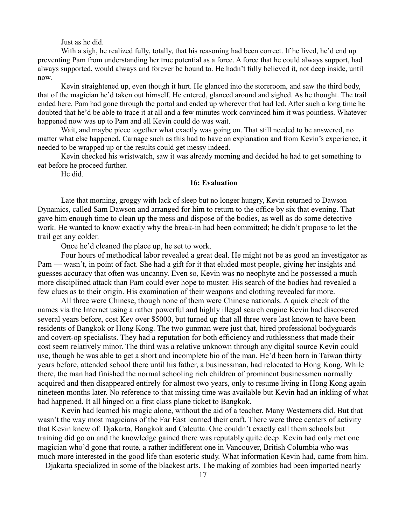Just as he did.

With a sigh, he realized fully, totally, that his reasoning had been correct. If he lived, he'd end up preventing Pam from understanding her true potential as a force. A force that he could always support, had always supported, would always and forever be bound to. He hadn't fully believed it, not deep inside, until now.

Kevin straightened up, even though it hurt. He glanced into the storeroom, and saw the third body, that of the magician he'd taken out himself. He entered, glanced around and sighed. As he thought. The trail ended here. Pam had gone through the portal and ended up wherever that had led. After such a long time he doubted that he'd be able to trace it at all and a few minutes work convinced him it was pointless. Whatever happened now was up to Pam and all Kevin could do was wait.

Wait, and maybe piece together what exactly was going on. That still needed to be answered, no matter what else happened. Carnage such as this had to have an explanation and from Kevin's experience, it needed to be wrapped up or the results could get messy indeed.

Kevin checked his wristwatch, saw it was already morning and decided he had to get something to eat before he proceed further.

He did.

## **16: Evaluation**

Late that morning, groggy with lack of sleep but no longer hungry, Kevin returned to Dawson Dynamics, called Sam Dawson and arranged for him to return to the office by six that evening. That gave him enough time to clean up the mess and dispose of the bodies, as well as do some detective work. He wanted to know exactly why the break-in had been committed; he didn't propose to let the trail get any colder.

Once he'd cleaned the place up, he set to work.

Four hours of methodical labor revealed a great deal. He might not be as good an investigator as Pam — wasn't, in point of fact. She had a gift for it that eluded most people, giving her insights and guesses accuracy that often was uncanny. Even so, Kevin was no neophyte and he possessed a much more disciplined attack than Pam could ever hope to muster. His search of the bodies had revealed a few clues as to their origin. His examination of their weapons and clothing revealed far more.

All three were Chinese, though none of them were Chinese nationals. A quick check of the names via the Internet using a rather powerful and highly illegal search engine Kevin had discovered several years before, cost Kev over \$5000, but turned up that all three were last known to have been residents of Bangkok or Hong Kong. The two gunman were just that, hired professional bodyguards and covert-op specialists. They had a reputation for both efficiency and ruthlessness that made their cost seem relatively minor. The third was a relative unknown through any digital source Kevin could use, though he was able to get a short and incomplete bio of the man. He'd been born in Taiwan thirty years before, attended school there until his father, a businessman, had relocated to Hong Kong. While there, the man had finished the normal schooling rich children of prominent businessmen normally acquired and then disappeared entirely for almost two years, only to resume living in Hong Kong again nineteen months later. No reference to that missing time was available but Kevin had an inkling of what had happened. It all hinged on a first class plane ticket to Bangkok.

Kevin had learned his magic alone, without the aid of a teacher. Many Westerners did. But that wasn't the way most magicians of the Far East learned their craft. There were three centers of activity that Kevin knew of: Djakarta, Bangkok and Calcutta. One couldn't exactly call them schools but training did go on and the knowledge gained there was reputably quite deep. Kevin had only met one magician who'd gone that route, a rather indifferent one in Vancouver, British Columbia who was much more interested in the good life than esoteric study. What information Kevin had, came from him.

Djakarta specialized in some of the blackest arts. The making of zombies had been imported nearly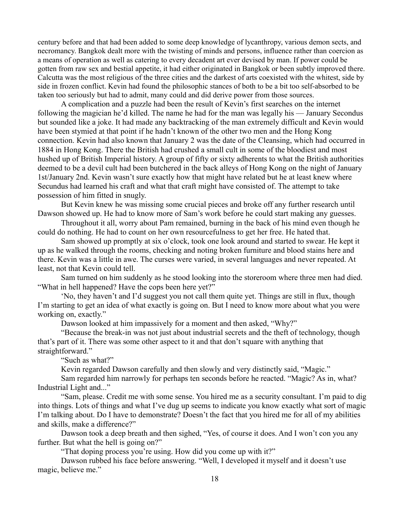century before and that had been added to some deep knowledge of lycanthropy, various demon sects, and necromancy. Bangkok dealt more with the twisting of minds and persons, influence rather than coercion as a means of operation as well as catering to every decadent art ever devised by man. If power could be gotten from raw sex and bestial appetite, it had either originated in Bangkok or been subtly improved there. Calcutta was the most religious of the three cities and the darkest of arts coexisted with the whitest, side by side in frozen conflict. Kevin had found the philosophic stances of both to be a bit too self-absorbed to be taken too seriously but had to admit, many could and did derive power from those sources.

A complication and a puzzle had been the result of Kevin's first searches on the internet following the magician he'd killed. The name he had for the man was legally his — January Secondus but sounded like a joke. It had made any backtracking of the man extremely difficult and Kevin would have been stymied at that point if he hadn't known of the other two men and the Hong Kong connection. Kevin had also known that January 2 was the date of the Cleansing, which had occurred in 1884 in Hong Kong. There the British had crushed a small cult in some of the bloodiest and most hushed up of British Imperial history. A group of fifty or sixty adherents to what the British authorities deemed to be a devil cult had been butchered in the back alleys of Hong Kong on the night of January 1st/January 2nd. Kevin wasn't sure exactly how that might have related but he at least knew where Secundus had learned his craft and what that craft might have consisted of. The attempt to take possession of him fitted in snugly.

But Kevin knew he was missing some crucial pieces and broke off any further research until Dawson showed up. He had to know more of Sam's work before he could start making any guesses.

Throughout it all, worry about Pam remained, burning in the back of his mind even though he could do nothing. He had to count on her own resourcefulness to get her free. He hated that.

Sam showed up promptly at six o'clock, took one look around and started to swear. He kept it up as he walked through the rooms, checking and noting broken furniture and blood stains here and there. Kevin was a little in awe. The curses were varied, in several languages and never repeated. At least, not that Kevin could tell.

Sam turned on him suddenly as he stood looking into the storeroom where three men had died. "What in hell happened? Have the cops been here yet?"

'No, they haven't and I'd suggest you not call them quite yet. Things are still in flux, though I'm starting to get an idea of what exactly is going on. But I need to know more about what you were working on, exactly."

Dawson looked at him impassively for a moment and then asked, "Why?"

"Because the break-in was not just about industrial secrets and the theft of technology, though that's part of it. There was some other aspect to it and that don't square with anything that straightforward."

"Such as what?"

Kevin regarded Dawson carefully and then slowly and very distinctly said, "Magic."

Sam regarded him narrowly for perhaps ten seconds before he reacted. "Magic? As in, what? Industrial Light and..."

"Sam, please. Credit me with some sense. You hired me as a security consultant. I'm paid to dig into things. Lots of things and what I've dug up seems to indicate you know exactly what sort of magic I'm talking about. Do I have to demonstrate? Doesn't the fact that you hired me for all of my abilities and skills, make a difference?"

Dawson took a deep breath and then sighed, "Yes, of course it does. And I won't con you any further. But what the hell is going on?"

"That doping process you're using. How did you come up with it?"

Dawson rubbed his face before answering. "Well, I developed it myself and it doesn't use magic, believe me."